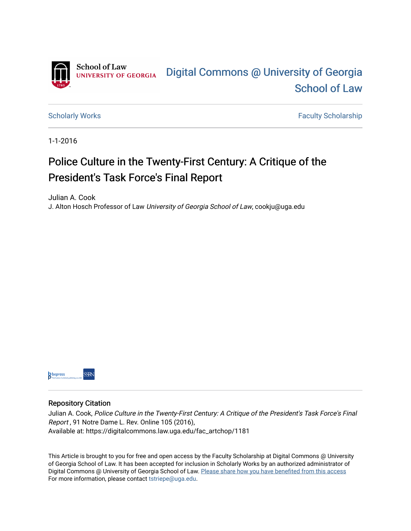

[Scholarly Works](https://digitalcommons.law.uga.edu/fac_artchop) **Faculty Scholarship** Scholarship

1-1-2016

# Police Culture in the Twenty-First Century: A Critique of the President's Task Force's Final Report

Julian A. Cook

J. Alton Hosch Professor of Law University of Georgia School of Law, cookju@uga.edu



### Repository Citation

Julian A. Cook, Police Culture in the Twenty-First Century: A Critique of the President's Task Force's Final Report , 91 Notre Dame L. Rev. Online 105 (2016), Available at: https://digitalcommons.law.uga.edu/fac\_artchop/1181

This Article is brought to you for free and open access by the Faculty Scholarship at Digital Commons @ University of Georgia School of Law. It has been accepted for inclusion in Scholarly Works by an authorized administrator of Digital Commons @ University of Georgia School of Law. Please share how you have benefited from this access For more information, please contact [tstriepe@uga.edu](mailto:tstriepe@uga.edu).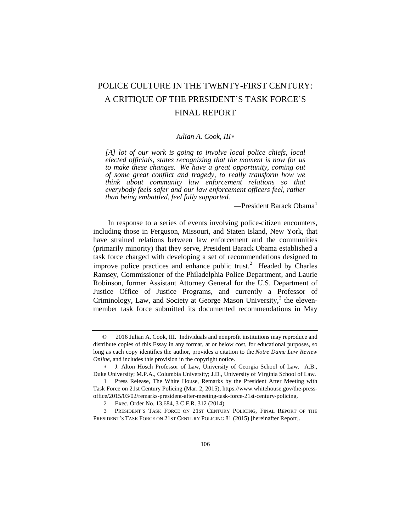## POLICE CULTURE IN THE TWENTY-FIRST CENTURY: A CRITIQUE OF THE PRESIDENT'S TASK FORCE'S FINAL REPORT

#### *Julian A. Cook, III*[∗](#page-1-0)

*[A] lot of our work is going to involve local police chiefs, local elected officials, states recognizing that the moment is now for us to make these changes. We have a great opportunity, coming out of some great conflict and tragedy, to really transform how we think about community law enforcement relations so that everybody feels safer and our law enforcement officers feel, rather than being embattled, feel fully supported.*

 $-$ President Barack Obama $<sup>1</sup>$  $<sup>1</sup>$  $<sup>1</sup>$ </sup>

In response to a series of events involving police-citizen encounters, including those in Ferguson, Missouri, and Staten Island, New York, that have strained relations between law enforcement and the communities (primarily minority) that they serve, President Barack Obama established a task force charged with developing a set of recommendations designed to improve police practices and enhance public trust.<sup>[2](#page-1-2)</sup> Headed by Charles Ramsey, Commissioner of the Philadelphia Police Department, and Laurie Robinson, former Assistant Attorney General for the U.S. Department of Justice Office of Justice Programs, and currently a Professor of Criminology, Law, and Society at George Mason University, $3$  the elevenmember task force submitted its documented recommendations in May

<span id="page-1-0"></span><sup>©</sup> 2016 Julian A. Cook, III. Individuals and nonprofit institutions may reproduce and distribute copies of this Essay in any format, at or below cost, for educational purposes, so long as each copy identifies the author, provides a citation to the *Notre Dame Law Review Online*, and includes this provision in the copyright notice.

<sup>∗</sup> J. Alton Hosch Professor of Law, University of Georgia School of Law. A.B., Duke University; M.P.A., Columbia University; J.D., University of Virginia School of Law.

<span id="page-1-1"></span><sup>1</sup> Press Release, The White House, Remarks by the President After Meeting with Task Force on 21st Century Policing (Mar. 2, 2015), https://www.whitehouse.gov/the-pressoffice/2015/03/02/remarks-president-after-meeting-task-force-21st-century-policing.

<sup>2</sup> Exec. Order No. 13,684, 3 C.F.R. 312 (2014).

<span id="page-1-3"></span><span id="page-1-2"></span><sup>3</sup> PRESIDENT'S TASK FORCE ON 21ST CENTURY POLICING, FINAL REPORT OF THE PRESIDENT'S TASK FORCE ON 21ST CENTURY POLICING 81 (2015) [hereinafter Report].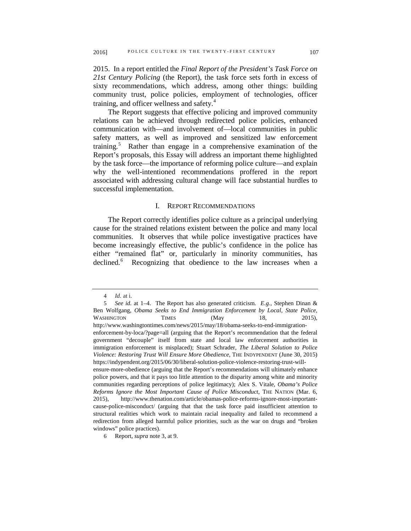2015. In a report entitled the *Final Report of the President's Task Force on 21st Century Policing* (the Report), the task force sets forth in excess of sixty recommendations, which address, among other things: building community trust, police policies, employment of technologies, officer training, and officer wellness and safety.<sup>[4](#page-2-0)</sup>

The Report suggests that effective policing and improved community relations can be achieved through redirected police policies, enhanced communication with—and involvement of—local communities in public safety matters, as well as improved and sensitized law enforcement training.<sup>[5](#page-2-1)</sup> Rather than engage in a comprehensive examination of the Report's proposals, this Essay will address an important theme highlighted by the task force—the importance of reforming police culture—and explain why the well-intentioned recommendations proffered in the report associated with addressing cultural change will face substantial hurdles to successful implementation.

#### I. REPORT RECOMMENDATIONS

The Report correctly identifies police culture as a principal underlying cause for the strained relations existent between the police and many local communities. It observes that while police investigative practices have become increasingly effective, the public's confidence in the police has either "remained flat" or, particularly in minority communities, has declined.<sup>[6](#page-2-2)</sup> Recognizing that obedience to the law increases when a

<sup>4</sup> *Id.* at i.

<span id="page-2-1"></span><span id="page-2-0"></span><sup>5</sup> *See id.* at 1–4. The Report has also generated criticism. *E.g.*, Stephen Dinan & Ben Wolfgang, *Obama Seeks to End Immigration Enforcement by Local, State Police*, WASHINGTON TIMES (May 18, 2015), http://www.washingtontimes.com/news/2015/may/18/obama-seeks-to-end-immigrationenforcement-by-loca/?page=all (arguing that the Report's recommendation that the federal government "decouple" itself from state and local law enforcement authorities in immigration enforcement is misplaced); Stuart Schrader, *The Liberal Solution to Police Violence: Restoring Trust Will Ensure More Obedience*, THE INDYPENDENT (June 30, 2015) https://indypendent.org/2015/06/30/liberal-solution-police-violence-restoring-trust-willensure-more-obedience (arguing that the Report's recommendations will ultimately enhance police powers, and that it pays too little attention to the disparity among white and minority communities regarding perceptions of police legitimacy); Alex S. Vitale, *Obama's Police Reforms Ignore the Most Important Cause of Police Misconduct*, THE NATION (Mar. 6, 2015), http://www.thenation.com/article/obamas-police-reforms-ignore-most-importantcause-police-misconduct/ (arguing that that the task force paid insufficient attention to structural realities which work to maintain racial inequality and failed to recommend a redirection from alleged harmful police priorities, such as the war on drugs and "broken windows" police practices).

<span id="page-2-2"></span><sup>6</sup> Report, *supra* note 3, at 9.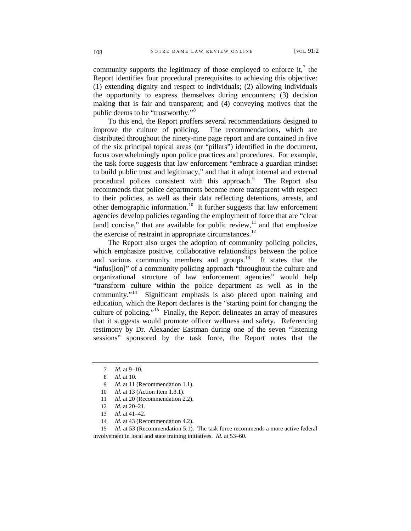community supports the legitimacy of those employed to enforce it,<sup>[7](#page-3-0)</sup> the Report identifies four procedural prerequisites to achieving this objective: (1) extending dignity and respect to individuals; (2) allowing individuals the opportunity to express themselves during encounters; (3) decision making that is fair and transparent; and (4) conveying motives that the public deems to be "trustworthy."[8](#page-3-1)

To this end, the Report proffers several recommendations designed to improve the culture of policing. The recommendations, which are distributed throughout the ninety-nine page report and are contained in five of the six principal topical areas (or "pillars") identified in the document, focus overwhelmingly upon police practices and procedures. For example, the task force suggests that law enforcement "embrace a guardian mindset to build public trust and legitimacy," and that it adopt internal and external procedural polices consistent with this approach.<sup>[9](#page-3-2)</sup> The Report also recommends that police departments become more transparent with respect to their policies, as well as their data reflecting detentions, arrests, and other demographic information.<sup>[10](#page-3-3)</sup> It further suggests that law enforcement agencies develop policies regarding the employment of force that are "clear [and] concise," that are available for public review, $11$  and that emphasize the exercise of restraint in appropriate circumstances.<sup>[12](#page-3-5)</sup>

The Report also urges the adoption of community policing policies, which emphasize positive, collaborative relationships between the police and various community members and groups.<sup>13</sup> It states that the "infus[ion]" of a community policing approach "throughout the culture and organizational structure of law enforcement agencies" would help "transform culture within the police department as well as in the community."<sup>14</sup> Significant emphasis is also placed upon training and Significant emphasis is also placed upon training and education, which the Report declares is the "starting point for changing the culture of policing."[15](#page-3-8) Finally, the Report delineates an array of measures that it suggests would promote officer wellness and safety. Referencing testimony by Dr. Alexander Eastman during one of the seven "listening sessions" sponsored by the task force, the Report notes that the

14 *Id.* at 43 (Recommendation 4.2).

<span id="page-3-8"></span><span id="page-3-7"></span><span id="page-3-6"></span><span id="page-3-5"></span><span id="page-3-4"></span><span id="page-3-3"></span>15 *Id.* at 53 (Recommendation 5.1). The task force recommends a more active federal involvement in local and state training initiatives. *Id.* at 53–60.

<span id="page-3-0"></span><sup>7</sup> *Id.* at 9–10.

<sup>8</sup> *Id.* at 10.

<sup>9</sup> *Id.* at 11 (Recommendation 1.1).

<span id="page-3-2"></span><span id="page-3-1"></span><sup>10</sup> *Id.* at 13 (Action Item 1.3.1).

<sup>11</sup> *Id.* at 20 (Recommendation 2.2).

<sup>12</sup> *Id.* at 20–21.

<sup>13</sup> *Id.* at 41–42.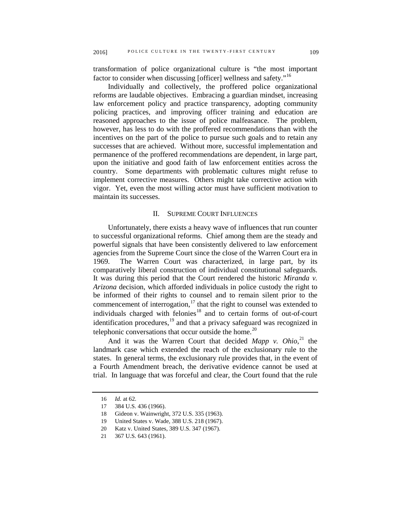transformation of police organizational culture is "the most important factor to consider when discussing [officer] wellness and safety."<sup>[16](#page-4-0)</sup>

Individually and collectively, the proffered police organizational reforms are laudable objectives. Embracing a guardian mindset, increasing law enforcement policy and practice transparency, adopting community policing practices, and improving officer training and education are reasoned approaches to the issue of police malfeasance. The problem, however, has less to do with the proffered recommendations than with the incentives on the part of the police to pursue such goals and to retain any successes that are achieved. Without more, successful implementation and permanence of the proffered recommendations are dependent, in large part, upon the initiative and good faith of law enforcement entities across the country. Some departments with problematic cultures might refuse to implement corrective measures. Others might take corrective action with vigor. Yet, even the most willing actor must have sufficient motivation to maintain its successes.

#### II. SUPREME COURT INFLUENCES

Unfortunately, there exists a heavy wave of influences that run counter to successful organizational reforms. Chief among them are the steady and powerful signals that have been consistently delivered to law enforcement agencies from the Supreme Court since the close of the Warren Court era in 1969. The Warren Court was characterized, in large part, by its comparatively liberal construction of individual constitutional safeguards. It was during this period that the Court rendered the historic *Miranda v. Arizona* decision, which afforded individuals in police custody the right to be informed of their rights to counsel and to remain silent prior to the commencement of interrogation, $17$  that the right to counsel was extended to individuals charged with felonies<sup>[18](#page-4-2)</sup> and to certain forms of out-of-court identification procedures, $19$  and that a privacy safeguard was recognized in telephonic conversations that occur outside the home. $^{20}$  $^{20}$  $^{20}$ 

And it was the Warren Court that decided *Mapp v. Ohio*, [21](#page-4-5) the landmark case which extended the reach of the exclusionary rule to the states. In general terms, the exclusionary rule provides that, in the event of a Fourth Amendment breach, the derivative evidence cannot be used at trial. In language that was forceful and clear, the Court found that the rule

<span id="page-4-0"></span><sup>16</sup> *Id.* at 62.

<span id="page-4-1"></span><sup>17</sup> 384 U.S. 436 (1966).

<span id="page-4-2"></span><sup>18</sup> Gideon v. Wainwright, 372 U.S. 335 (1963).

<span id="page-4-4"></span><span id="page-4-3"></span><sup>19</sup> United States v. Wade, 388 U.S. 218 (1967).

<sup>20</sup> Katz v. United States, 389 U.S. 347 (1967).

<span id="page-4-5"></span><sup>21</sup> 367 U.S. 643 (1961).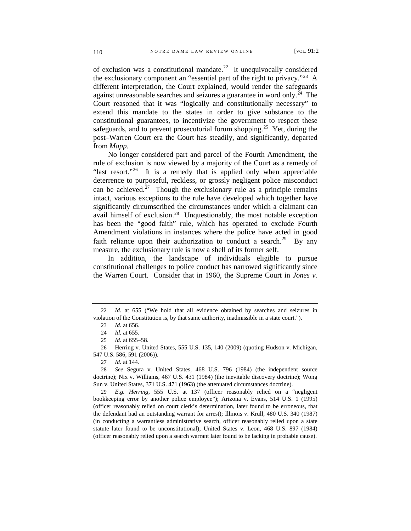of exclusion was a constitutional mandate.<sup>[22](#page-5-0)</sup> It unequivocally considered the exclusionary component an "essential part of the right to privacy."[23](#page-5-1) A different interpretation, the Court explained, would render the safeguards against unreasonable searches and seizures a guarantee in word only.<sup>[24](#page-5-2)</sup> The Court reasoned that it was "logically and constitutionally necessary" to extend this mandate to the states in order to give substance to the constitutional guarantees, to incentivize the government to respect these safeguards, and to prevent prosecutorial forum shopping.<sup>[25](#page-5-3)</sup> Yet, during the post–Warren Court era the Court has steadily, and significantly, departed from *Mapp.* 

No longer considered part and parcel of the Fourth Amendment, the rule of exclusion is now viewed by a majority of the Court as a remedy of "last resort."<sup>[26](#page-5-4)</sup> It is a remedy that is applied only when appreciable deterrence to purposeful, reckless, or grossly negligent police misconduct can be achieved.<sup>[27](#page-5-5)</sup> Though the exclusionary rule as a principle remains intact, various exceptions to the rule have developed which together have significantly circumscribed the circumstances under which a claimant can avail himself of exclusion.[28](#page-5-6) Unquestionably, the most notable exception has been the "good faith" rule, which has operated to exclude Fourth Amendment violations in instances where the police have acted in good faith reliance upon their authorization to conduct a search.<sup>29</sup> By any measure, the exclusionary rule is now a shell of its former self.

In addition, the landscape of individuals eligible to pursue constitutional challenges to police conduct has narrowed significantly since the Warren Court. Consider that in 1960, the Supreme Court in *Jones v.* 

<span id="page-5-7"></span>29 *E.g. Herring*, 555 U.S. at 137 (officer reasonably relied on a "negligent bookkeeping error by another police employee"); Arizona v. Evans, 514 U.S. 1 (1995) (officer reasonably relied on court clerk's determination, later found to be erroneous, that the defendant had an outstanding warrant for arrest); Illinois v. Krull, 480 U.S. 340 (1987) (in conducting a warrantless administrative search, officer reasonably relied upon a state statute later found to be unconstitutional); United States v. Leon, 468 U.S. 897 (1984) (officer reasonably relied upon a search warrant later found to be lacking in probable cause).

<span id="page-5-1"></span><span id="page-5-0"></span><sup>22</sup> *Id.* at 655 ("We hold that all evidence obtained by searches and seizures in violation of the Constitution is, by that same authority, inadmissible in a state court.").

<sup>23</sup> *Id.* at 656.

<sup>24</sup> *Id.* at 655.

<sup>25</sup> *Id.* at 655–58.

<span id="page-5-4"></span><span id="page-5-3"></span><span id="page-5-2"></span><sup>26</sup> Herring v. United States, 555 U.S. 135, 140 (2009) (quoting Hudson v. Michigan, 547 U.S. 586, 591 (2006)).

<sup>27</sup> *Id.* at 144.

<span id="page-5-6"></span><span id="page-5-5"></span><sup>28</sup> *See* Segura v. United States, 468 U.S. 796 (1984) (the independent source doctrine); Nix v. Williams*,* 467 U.S. 431 (1984) (the inevitable discovery doctrine); Wong Sun v. United States*,* 371 U.S. 471 (1963) (the attenuated circumstances doctrine).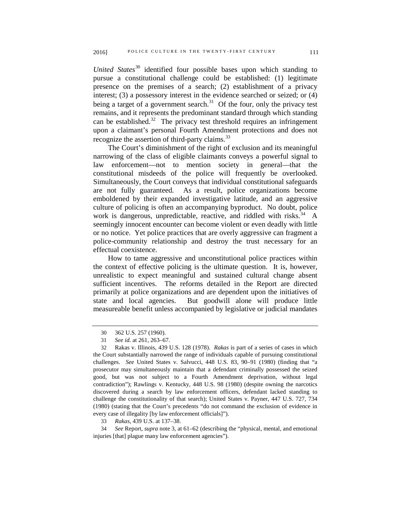*United States*<sup>[30](#page-6-0)</sup> identified four possible bases upon which standing to pursue a constitutional challenge could be established: (1) legitimate presence on the premises of a search; (2) establishment of a privacy interest; (3) a possessory interest in the evidence searched or seized; or (4) being a target of a government search.<sup>31</sup> Of the four, only the privacy test remains, and it represents the predominant standard through which standing can be established.<sup>32</sup> The privacy test threshold requires an infringement upon a claimant's personal Fourth Amendment protections and does not recognize the assertion of third-party claims.<sup>[33](#page-6-3)</sup>

The Court's diminishment of the right of exclusion and its meaningful narrowing of the class of eligible claimants conveys a powerful signal to law enforcement—not to mention society in general—that the constitutional misdeeds of the police will frequently be overlooked. Simultaneously, the Court conveys that individual constitutional safeguards are not fully guaranteed. As a result, police organizations become emboldened by their expanded investigative latitude, and an aggressive culture of policing is often an accompanying byproduct. No doubt, police work is dangerous, unpredictable, reactive, and riddled with risks.  $34$  A seemingly innocent encounter can become violent or even deadly with little or no notice. Yet police practices that are overly aggressive can fragment a police-community relationship and destroy the trust necessary for an effectual coexistence.

How to tame aggressive and unconstitutional police practices within the context of effective policing is the ultimate question. It is, however, unrealistic to expect meaningful and sustained cultural change absent sufficient incentives. The reforms detailed in the Report are directed primarily at police organizations and are dependent upon the initiatives of state and local agencies. But goodwill alone will produce little measureable benefit unless accompanied by legislative or judicial mandates

<sup>30</sup> 362 U.S. 257 (1960).

<sup>31</sup> *See id.* at 261, 263–67.

<span id="page-6-2"></span><span id="page-6-1"></span><span id="page-6-0"></span><sup>32</sup> Rakas v. Illinois, 439 U.S. 128 (1978). *Rakas* is part of a series of cases in which the Court substantially narrowed the range of individuals capable of pursuing constitutional challenges. *See* United States v. Salvucci, 448 U.S. 83, 90–91 (1980) (finding that "a prosecutor may simultaneously maintain that a defendant criminally possessed the seized good, but was not subject to a Fourth Amendment deprivation, without legal contradiction"); Rawlings v. Kentucky, 448 U.S. 98 (1980) (despite owning the narcotics discovered during a search by law enforcement officers, defendant lacked standing to challenge the constitutionality of that search); United States v. Payner, 447 U.S. 727, 734 (1980) (stating that the Court's precedents "do not command the exclusion of evidence in every case of illegality [by law enforcement officials]").

<sup>33</sup> *Rakas*, 439 U.S. at 137–38.

<span id="page-6-4"></span><span id="page-6-3"></span><sup>34</sup> *See* Report, *supra* note 3, at 61–62 (describing the "physical, mental, and emotional injuries [that] plague many law enforcement agencies").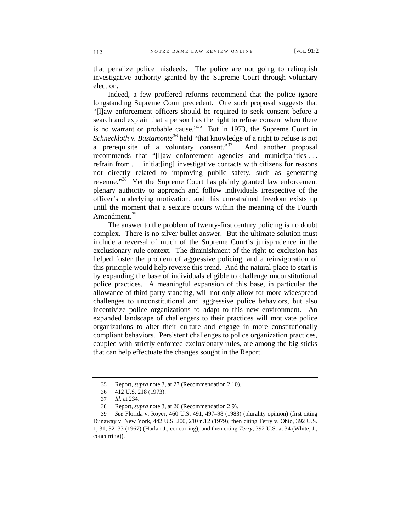that penalize police misdeeds. The police are not going to relinquish investigative authority granted by the Supreme Court through voluntary election.

Indeed, a few proffered reforms recommend that the police ignore longstanding Supreme Court precedent. One such proposal suggests that "[l]aw enforcement officers should be required to seek consent before a search and explain that a person has the right to refuse consent when there is no warrant or probable cause.<sup> $35$ </sup> But in 1973, the Supreme Court in *Schneckloth v. Bustamonte*[36](#page-7-1) held "that knowledge of a right to refuse is not a prerequisite of a voluntary consent."<sup>[37](#page-7-2)</sup> And another proposal recommends that "[l]aw enforcement agencies and municipalities . . . refrain from . . . initiat[ing] investigative contacts with citizens for reasons not directly related to improving public safety, such as generating revenue."<sup>38</sup> Yet the Supreme Court has plainly granted law enforcement plenary authority to approach and follow individuals irrespective of the officer's underlying motivation, and this unrestrained freedom exists up until the moment that a seizure occurs within the meaning of the Fourth Amendment.<sup>[39](#page-7-4)</sup>

The answer to the problem of twenty-first century policing is no doubt complex. There is no silver-bullet answer. But the ultimate solution must include a reversal of much of the Supreme Court's jurisprudence in the exclusionary rule context. The diminishment of the right to exclusion has helped foster the problem of aggressive policing, and a reinvigoration of this principle would help reverse this trend. And the natural place to start is by expanding the base of individuals eligible to challenge unconstitutional police practices. A meaningful expansion of this base, in particular the allowance of third-party standing, will not only allow for more widespread challenges to unconstitutional and aggressive police behaviors, but also incentivize police organizations to adapt to this new environment. An expanded landscape of challengers to their practices will motivate police organizations to alter their culture and engage in more constitutionally compliant behaviors. Persistent challenges to police organization practices, coupled with strictly enforced exclusionary rules, are among the big sticks that can help effectuate the changes sought in the Report.

<sup>35</sup> Report, *supra* note 3, at 27 (Recommendation 2.10).

<sup>36</sup> 412 U.S. 218 (1973).

<sup>37</sup> *Id.* at 234.

<sup>38</sup> Report, *supra* note 3, at 26 (Recommendation 2.9).

<span id="page-7-4"></span><span id="page-7-3"></span><span id="page-7-2"></span><span id="page-7-1"></span><span id="page-7-0"></span><sup>39</sup> *See* Florida v. Royer, 460 U.S. 491, 497–98 (1983) (plurality opinion) (first citing Dunaway v. New York, 442 U.S. 200, 210 n.12 (1979); then citing Terry v. Ohio, 392 U.S. 1, 31, 32–33 (1967) (Harlan J., concurring); and then citing *Terry*, 392 U.S. at 34 (White, J., concurring)).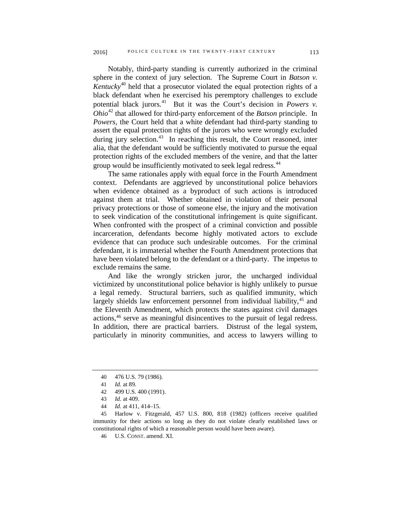Notably, third-party standing is currently authorized in the criminal sphere in the context of jury selection. The Supreme Court in *Batson v. Kentucky*<sup>[40](#page-8-0)</sup> held that a prosecutor violated the equal protection rights of a black defendant when he exercised his peremptory challenges to exclude potential black jurors.<sup>41</sup> But it was the Court's decision in *Powers v*. *Ohio*[42](#page-8-2) that allowed for third-party enforcement of the *Batson* principle. In *Powers*, the Court held that a white defendant had third-party standing to assert the equal protection rights of the jurors who were wrongly excluded during jury selection. $43$  In reaching this result, the Court reasoned, inter alia, that the defendant would be sufficiently motivated to pursue the equal

group would be insufficiently motivated to seek legal redress.<sup>[44](#page-8-4)</sup> The same rationales apply with equal force in the Fourth Amendment context. Defendants are aggrieved by unconstitutional police behaviors when evidence obtained as a byproduct of such actions is introduced against them at trial. Whether obtained in violation of their personal privacy protections or those of someone else, the injury and the motivation to seek vindication of the constitutional infringement is quite significant. When confronted with the prospect of a criminal conviction and possible incarceration, defendants become highly motivated actors to exclude evidence that can produce such undesirable outcomes. For the criminal defendant, it is immaterial whether the Fourth Amendment protections that have been violated belong to the defendant or a third-party. The impetus to exclude remains the same.

protection rights of the excluded members of the venire, and that the latter

And like the wrongly stricken juror, the uncharged individual victimized by unconstitutional police behavior is highly unlikely to pursue a legal remedy. Structural barriers, such as qualified immunity, which largely shields law enforcement personnel from individual liability,<sup>[45](#page-8-5)</sup> and the Eleventh Amendment, which protects the states against civil damages actions[,46](#page-8-6) serve as meaningful disincentives to the pursuit of legal redress. In addition, there are practical barriers. Distrust of the legal system, particularly in minority communities, and access to lawyers willing to

46 U.S. CONST. amend. XI.

<sup>40</sup> 476 U.S. 79 (1986).

<sup>41</sup> *Id.* at 89.

<sup>42</sup> 499 U.S. 400 (1991).

<sup>43</sup> *Id.* at 409.

<sup>44</sup> *Id.* at 411, 414–15.

<span id="page-8-6"></span><span id="page-8-5"></span><span id="page-8-4"></span><span id="page-8-3"></span><span id="page-8-2"></span><span id="page-8-1"></span><span id="page-8-0"></span><sup>45</sup> Harlow v. Fitzgerald, 457 U.S. 800, 818 (1982) (officers receive qualified immunity for their actions so long as they do not violate clearly established laws or constitutional rights of which a reasonable person would have been aware).